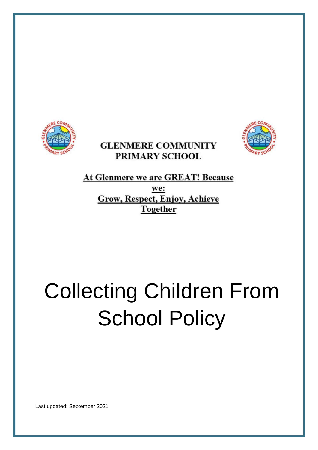

# **GLENMERE COMMUNITY** PRIMARY SCHOOL



At Glenmere we are GREAT! Because we: **Grow, Respect, Enjoy, Achieve** Together

# Collecting Children From **School Policy**

Last updated: September 2021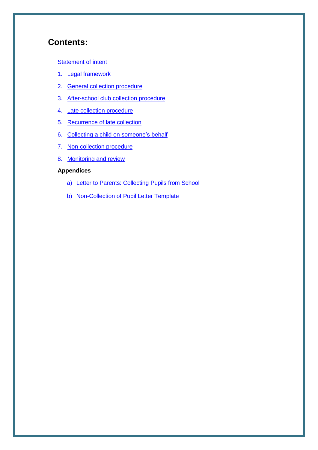## **Contents:**

#### **[Statement of intent](#page-2-0)**

- 1. [Legal framework](#page-3-0)
- 2. [General collection procedure](#page-3-0)
- 3. [After-school club collection procedure](#page-4-0)
- 4. [Late collection procedure](#page-4-0)
- 5. [Recurrence of late collection](#page-4-0)
- 6. [Collecting a child on someone's behalf](#page-5-0)
- 7. [Non-collection procedure](#page-5-0)
- 8. [Monitoring and review](#page-6-0)

#### **Appendices**

- a) [Letter to Parents: Collecting Pupils from School](#page-7-0)
- b) [Non-Collection of Pupil Letter Template](#page-9-0)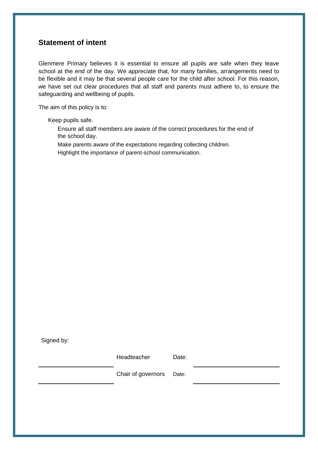## <span id="page-2-0"></span>**Statement of intent**

Glenmere Primary believes it is essential to ensure all pupils are safe when they leave school at the end of the day. We appreciate that, for many families, arrangements need to be flexible and it may be that several people care for the child after school. For this reason, we have set out clear procedures that all staff and parents must adhere to, to ensure the safeguarding and wellbeing of pupils.

The aim of this policy is to:

Keep pupils safe.

- Ensure all staff members are aware of the correct procedures for the end of the school day.
- Make parents aware of the expectations regarding collecting children.
- Highlight the importance of parent-school communication.

Signed by:

| Headteacher              | Date: |
|--------------------------|-------|
| Chair of governors Date: |       |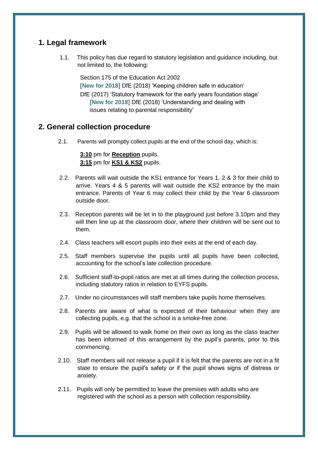## <span id="page-3-0"></span>**1. Legal framework**

1.1. This policy has due regard to statutory legislation and guidance including, but not limited to, the following:

Section 175 of the Education Act 2002 **[New for 2018]** DfE (2018) 'Keeping children safe in education' DfE (2017) 'Statutory framework for the early years foundation stage' **[New for 2018]** DfE (2018) 'Understanding and dealing with issues relating to parental responsibility'

## **2. General collection procedure**

2.1. Parents will promptly collect pupils at the end of the school day, which is:

**3:10** pm for **Reception** pupils. **3:15** pm for **KS1 & KS2** pupils.

- 2.2. Parents will wait outside the KS1 entrance for Years 1, 2 & 3 for their child to arrive. Years 4 & 5 parents will wait outside the KS2 entrance by the main entrance. Parents of Year 6 may collect their child by the Year 6 classroom outside door.
- 2.3. Reception parents will be let in to the playground just before 3.10pm and they will then line up at the classroom door, where their children will be sent out to them.
- 2.4. Class teachers will escort pupils into their exits at the end of each day.
- 2.5. Staff members supervise the pupils until all pupils have been collected, accounting for the school's [late collection procedure.](#page-4-0)
- 2.6. Sufficient staff-to-pupil ratios are met at all times during the collection process, including statutory ratios in relation to EYFS pupils.
- 2.7. Under no circumstances will staff members take pupils home themselves.
- 2.8. Parents are aware of what is expected of their behaviour when they are collecting pupils, e.g. that the school is a smoke-free zone.
- 2.9. Pupils will be allowed to walk home on their own as long as the class teacher has been informed of this arrangement by the pupil's parents, prior to this commencing.
- 2.10. Staff members will not release a pupil if it is felt that the parents are not in a fit state to ensure the pupil's safety or if the pupil shows signs of distress or anxiety.
- 2.11. Pupils will only be permitted to leave the premises with adults who are registered with the school as a person with collection responsibility.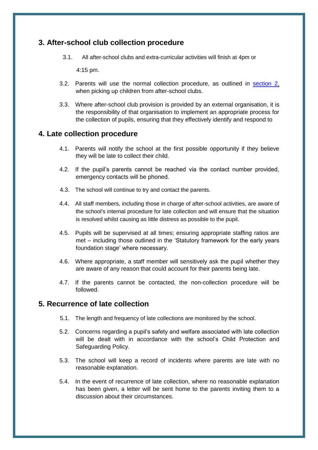## <span id="page-4-0"></span>**3. After-school club collection procedure**

3.1. All after-school clubs and extra-curricular activities will finish at 4pm or

4:15 pm.

- 3.2. Parents will use the normal collection procedure, as outlined in [section 2,](#page-3-0) when picking up children from after-school clubs.
- 3.3. Where after-school club provision is provided by an external organisation, it is the responsibility of that organisation to implement an appropriate process for the collection of pupils, ensuring that they effectively identify and respond to

### **4. Late collection procedure**

- 4.1. Parents will notify the school at the first possible opportunity if they believe they will be late to collect their child.
- 4.2. If the pupil's parents cannot be reached via the contact number provided, emergency contacts will be phoned.
- 4.3. The school will continue to try and contact the parents.
- 4.4. All staff members, including those in charge of after-school activities, are aware of the school's internal procedure for late collection and will ensure that the situation is resolved whilst causing as little distress as possible to the pupil.
- 4.5. Pupils will be supervised at all times; ensuring appropriate staffing ratios are met – including those outlined in the 'Statutory framework for the early years foundation stage' where necessary.
- 4.6. Where appropriate, a staff member will sensitively ask the pupil whether they are aware of any reason that could account for their parents being late.
- 4.7. If the parents cannot be contacted, the non-collection procedure will be followed.

### **5. Recurrence of late collection**

- 5.1. The length and frequency of late collections are monitored by the school.
- 5.2. Concerns regarding a pupil's safety and welfare associated with late collection will be dealt with in accordance with the school's Child Protection and Safeguarding Policy.
- 5.3. The school will keep a record of incidents where parents are late with no reasonable explanation.
- 5.4. In the event of recurrence of late collection, where no reasonable explanation has been given, a letter will be sent home to the parents inviting them to a discussion about their circumstances.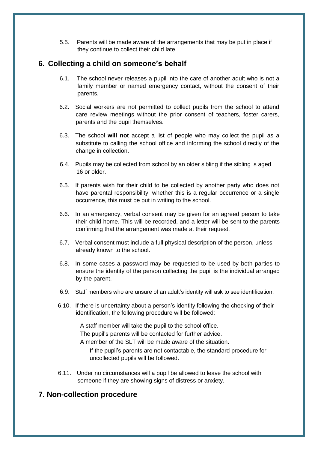5.5. Parents will be made aware of the arrangements that may be put in place if they continue to collect their child late.

## <span id="page-5-0"></span>**6. Collecting a child on someone's behalf**

- 6.1. The school never releases a pupil into the care of another adult who is not a family member or named emergency contact, without the consent of their parents.
- 6.2. Social workers are not permitted to collect pupils from the school to attend care review meetings without the prior consent of teachers, foster carers, parents and the pupil themselves.
- 6.3. The school **will not** accept a list of people who may collect the pupil as a substitute to calling the school office and informing the school directly of the change in collection.
- 6.4. Pupils may be collected from school by an older sibling if the sibling is aged 16 or older.
- 6.5. If parents wish for their child to be collected by another party who does not have parental responsibility, whether this is a regular occurrence or a single occurrence, this must be put in writing to the school.
- 6.6. In an emergency, verbal consent may be given for an agreed person to take their child home. This will be recorded, and a letter will be sent to the parents confirming that the arrangement was made at their request.
- 6.7. Verbal consent must include a full physical description of the person, unless already known to the school.
- 6.8. In some cases a password may be requested to be used by both parties to ensure the identity of the person collecting the pupil is the individual arranged by the parent.
- 6.9. Staff members who are unsure of an adult's identity will ask to see identification.
- 6.10. If there is uncertainty about a person's identity following the checking of their identification, the following procedure will be followed:

A staff member will take the pupil to the school office.

The pupil's parents will be contacted for further advice.

A member of the SLT will be made aware of the situation.

If the pupil's parents are not contactable, the standard procedure for uncollected pupils will be followed.

6.11. Under no circumstances will a pupil be allowed to leave the school with someone if they are showing signs of distress or anxiety.

## **7. Non-collection procedure**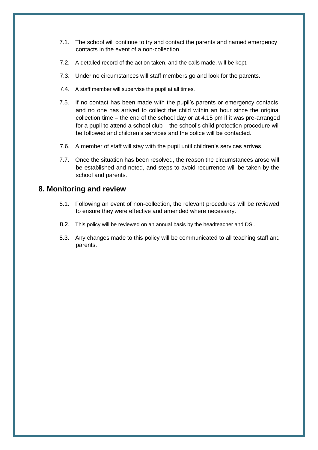- <span id="page-6-0"></span>7.1. The school will continue to try and contact the parents and named emergency contacts in the event of a non-collection.
- 7.2. A detailed record of the action taken, and the calls made, will be kept.
- 7.3. Under no circumstances will staff members go and look for the parents.
- 7.4. A staff member will supervise the pupil at all times.
- 7.5. If no contact has been made with the pupil's parents or emergency contacts, and no one has arrived to collect the child within an hour since the original collection time – the end of the school day or at 4.15 pm if it was pre-arranged for a pupil to attend a school club – the school's child protection procedure will be followed and children's services and the police will be contacted.
- 7.6. A member of staff will stay with the pupil until children's services arrives.
- 7.7. Once the situation has been resolved, the reason the circumstances arose will be established and noted, and steps to avoid recurrence will be taken by the school and parents.

### **8. Monitoring and review**

- 8.1. Following an event of non-collection, the relevant procedures will be reviewed to ensure they were effective and amended where necessary.
- 8.2. This policy will be reviewed on an annual basis by the headteacher and DSL.
- 8.3. Any changes made to this policy will be communicated to all teaching staff and parents.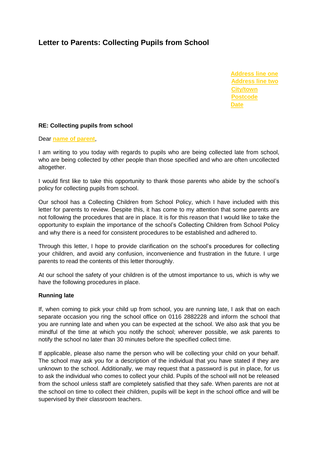## <span id="page-7-0"></span>**Letter to Parents: Collecting Pupils from School**

**Address line one Address line two City/town Postcode Date**

#### **RE: Collecting pupils from school**

Dear **name of parent**,

I am writing to you today with regards to pupils who are being collected late from school, who are being collected by other people than those specified and who are often uncollected altogether.

I would first like to take this opportunity to thank those parents who abide by the school's policy for collecting pupils from school.

Our school has a Collecting Children from School Policy, which I have included with this letter for parents to review. Despite this, it has come to my attention that some parents are not following the procedures that are in place. It is for this reason that I would like to take the opportunity to explain the importance of the school's Collecting Children from School Policy and why there is a need for consistent procedures to be established and adhered to.

Through this letter, I hope to provide clarification on the school's procedures for collecting your children, and avoid any confusion, inconvenience and frustration in the future. I urge parents to read the contents of this letter thoroughly.

At our school the safety of your children is of the utmost importance to us, which is why we have the following procedures in place.

#### **Running late**

If, when coming to pick your child up from school, you are running late, I ask that on each separate occasion you ring the school office on 0116 2882228 and inform the school that you are running late and when you can be expected at the school. We also ask that you be mindful of the time at which you notify the school; wherever possible, we ask parents to notify the school no later than 30 minutes before the specified collect time.

If applicable, please also name the person who will be collecting your child on your behalf. The school may ask you for a description of the individual that you have stated if they are unknown to the school. Additionally, we may request that a password is put in place, for us to ask the individual who comes to collect your child. Pupils of the school will not be released from the school unless staff are completely satisfied that they safe. When parents are not at the school on time to collect their children, pupils will be kept in the school office and will be supervised by their classroom teachers.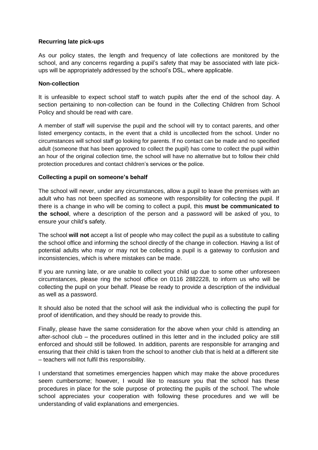#### **Recurring late pick-ups**

As our policy states, the length and frequency of late collections are monitored by the school, and any concerns regarding a pupil's safety that may be associated with late pickups will be appropriately addressed by the school's DSL, where applicable.

#### **Non-collection**

It is unfeasible to expect school staff to watch pupils after the end of the school day. A section pertaining to non-collection can be found in the Collecting Children from School Policy and should be read with care.

A member of staff will supervise the pupil and the school will try to contact parents, and other listed emergency contacts, in the event that a child is uncollected from the school. Under no circumstances will school staff go looking for parents. If no contact can be made and no specified adult (someone that has been approved to collect the pupil) has come to collect the pupil within an hour of the original collection time, the school will have no alternative but to follow their child protection procedures and contact children's services or the police.

#### **Collecting a pupil on someone's behalf**

The school will never, under any circumstances, allow a pupil to leave the premises with an adult who has not been specified as someone with responsibility for collecting the pupil. If there is a change in who will be coming to collect a pupil, this **must be communicated to the school**, where a description of the person and a password will be asked of you, to ensure your child's safety.

The school **will not** accept a list of people who may collect the pupil as a substitute to calling the school office and informing the school directly of the change in collection. Having a list of potential adults who may or may not be collecting a pupil is a gateway to confusion and inconsistencies, which is where mistakes can be made.

If you are running late, or are unable to collect your child up due to some other unforeseen circumstances, please ring the school office on 0116 2882228, to inform us who will be collecting the pupil on your behalf. Please be ready to provide a description of the individual as well as a password.

It should also be noted that the school will ask the individual who is collecting the pupil for proof of identification, and they should be ready to provide this.

Finally, please have the same consideration for the above when your child is attending an after-school club – the procedures outlined in this letter and in the included policy are still enforced and should still be followed. In addition, parents are responsible for arranging and ensuring that their child is taken from the school to another club that is held at a different site – teachers will not fulfil this responsibility.

I understand that sometimes emergencies happen which may make the above procedures seem cumbersome; however, I would like to reassure you that the school has these procedures in place for the sole purpose of protecting the pupils of the school. The whole school appreciates your cooperation with following these procedures and we will be understanding of valid explanations and emergencies.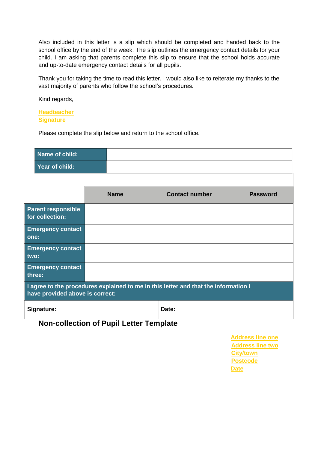<span id="page-9-0"></span>Also included in this letter is a slip which should be completed and handed back to the school office by the end of the week. The slip outlines the emergency contact details for your child. I am asking that parents complete this slip to ensure that the school holds accurate and up-to-date emergency contact details for all pupils.

Thank you for taking the time to read this letter. I would also like to reiterate my thanks to the vast majority of parents who follow the school's procedures.

Kind regards,

**Headteacher Signature**

Please complete the slip below and return to the school office.

| Name of child: |  |
|----------------|--|
| Year of child: |  |

|                                                                                                                        | <b>Name</b> |       | <b>Contact number</b> | <b>Password</b> |  |  |
|------------------------------------------------------------------------------------------------------------------------|-------------|-------|-----------------------|-----------------|--|--|
| <b>Parent responsible</b><br>for collection:                                                                           |             |       |                       |                 |  |  |
| <b>Emergency contact</b><br>one:                                                                                       |             |       |                       |                 |  |  |
| <b>Emergency contact</b><br>two:                                                                                       |             |       |                       |                 |  |  |
| <b>Emergency contact</b><br>three:                                                                                     |             |       |                       |                 |  |  |
| I agree to the procedures explained to me in this letter and that the information I<br>have provided above is correct: |             |       |                       |                 |  |  |
| Signature:                                                                                                             |             | Date: |                       |                 |  |  |

**Non-collection of Pupil Letter Template**

**Address line one Address line two City/town Postcode Date**